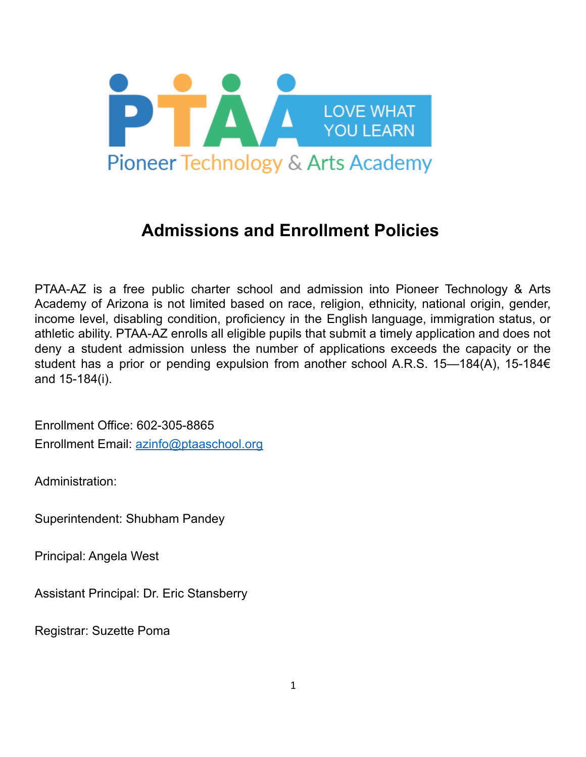

# **Admissions and Enrollment Policies**

PTAA-AZ is a free public charter school and admission into Pioneer Technology & Arts Academy of Arizona is not limited based on race, religion, ethnicity, national origin, gender, income level, disabling condition, proficiency in the English language, immigration status, or athletic ability. PTAA-AZ enrolls all eligible pupils that submit a timely application and does not deny a student admission unless the number of applications exceeds the capacity or the student has a prior or pending expulsion from another school A.R.S. 15–184(A), 15-184€ and 15-184(i).

Enrollment Office: 602-305-8865 Enrollment Email: [azinfo@ptaaschool.org](mailto:azinfo@ptaaschool.org)

Administration:

Superintendent: Shubham Pandey

Principal: Angela West

Assistant Principal: Dr. Eric Stansberry

Registrar: Suzette Poma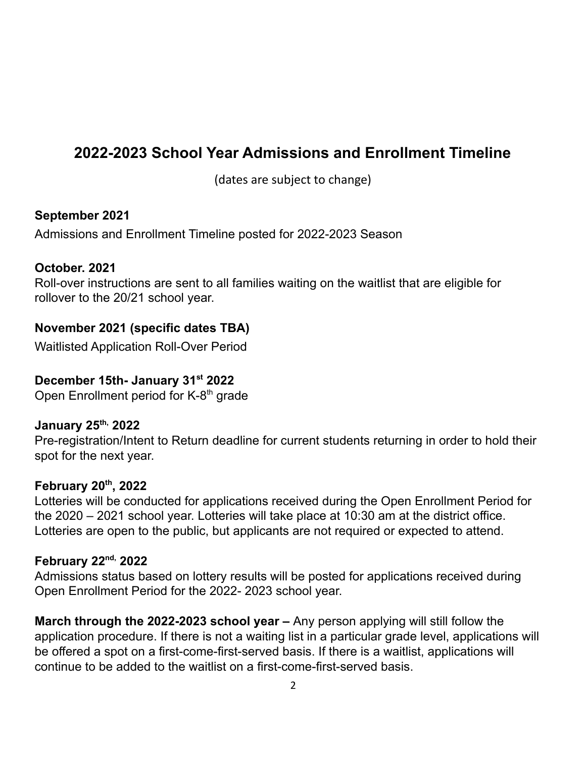# **2022-2023 School Year Admissions and Enrollment Timeline**

(dates are subject to change)

#### **September 2021**

Admissions and Enrollment Timeline posted for 2022-2023 Season

#### **October. 2021**

Roll-over instructions are sent to all families waiting on the waitlist that are eligible for rollover to the 20/21 school year.

#### **November 2021 (specific dates TBA)**

Waitlisted Application Roll-Over Period

#### **December 15th- January 31 st 2022**

Open Enrollment period for K-8<sup>th</sup> grade

#### **January 25 th, 2022**

Pre-registration/Intent to Return deadline for current students returning in order to hold their spot for the next year.

#### **February 20 th , 2022**

Lotteries will be conducted for applications received during the Open Enrollment Period for the 2020 – 2021 school year. Lotteries will take place at 10:30 am at the district office. Lotteries are open to the public, but applicants are not required or expected to attend.

#### **February 22 nd, 2022**

Admissions status based on lottery results will be posted for applications received during Open Enrollment Period for the 2022- 2023 school year.

**March through the 2022-2023 school year –** Any person applying will still follow the application procedure. If there is not a waiting list in a particular grade level, applications will be offered a spot on a first-come-first-served basis. If there is a waitlist, applications will continue to be added to the waitlist on a first-come-first-served basis.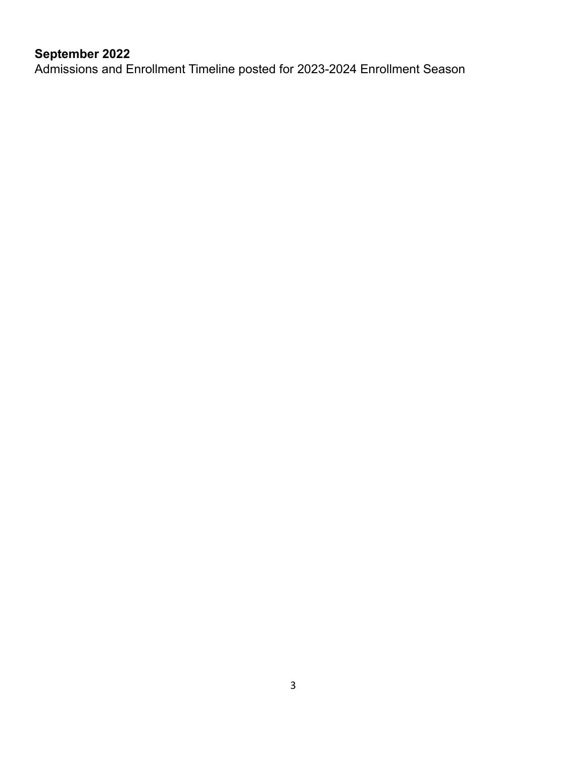# **September 2022**

Admissions and Enrollment Timeline posted for 2023-2024 Enrollment Season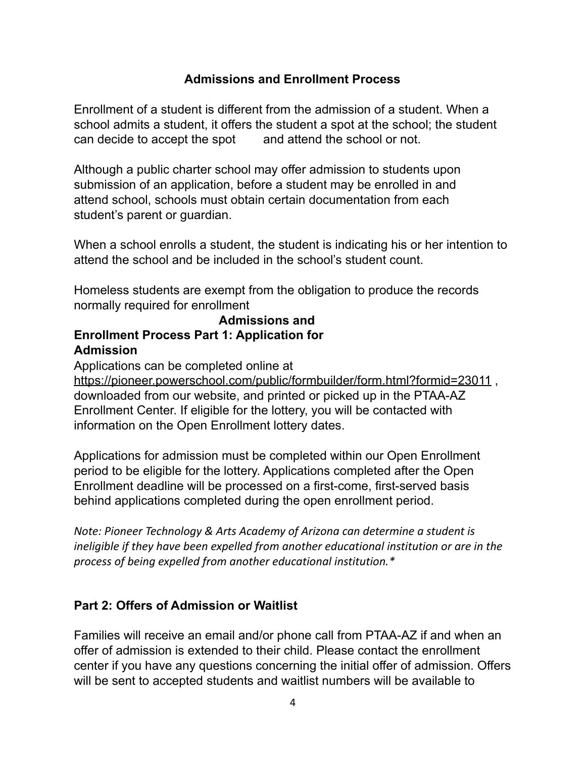#### **Admissions and Enrollment Process**

Enrollment of a student is different from the admission of a student. When a school admits a student, it offers the student a spot at the school; the student can decide to accept the spot and attend the school or not.

Although a public charter school may offer admission to students upon submission of an application, before a student may be enrolled in and attend school, schools must obtain certain documentation from each student's parent or guardian.

When a school enrolls a student, the student is indicating his or her intention to attend the school and be included in the school's student count.

Homeless students are exempt from the obligation to produce the records normally required for enrollment

#### **Admissions and Enrollment Process Part 1: Application for Admission**

Applications can be completed online at

[https://pioneer.powerschool.com/public/formbuilder/form.html?formid=23011](http://www.azcharter.com/apply), downloaded from our website, and printed or picked up in the PTAA-AZ Enrollment Center. If eligible for the lottery, you will be contacted with information on the Open Enrollment lottery dates.

Applications for admission must be completed within our Open Enrollment period to be eligible for the lottery. Applications completed after the Open Enrollment deadline will be processed on a first-come, first-served basis behind applications completed during the open enrollment period.

*Note: Pioneer Technology & Arts Academy of Arizona can determine a student is ineligible if they have been expelled from another educational institution or are in the process of being expelled from another educational institution.\**

#### **Part 2: Offers of Admission or Waitlist**

Families will receive an email and/or phone call from PTAA-AZ if and when an offer of admission is extended to their child. Please contact the enrollment center if you have any questions concerning the initial offer of admission. Offers will be sent to accepted students and waitlist numbers will be available to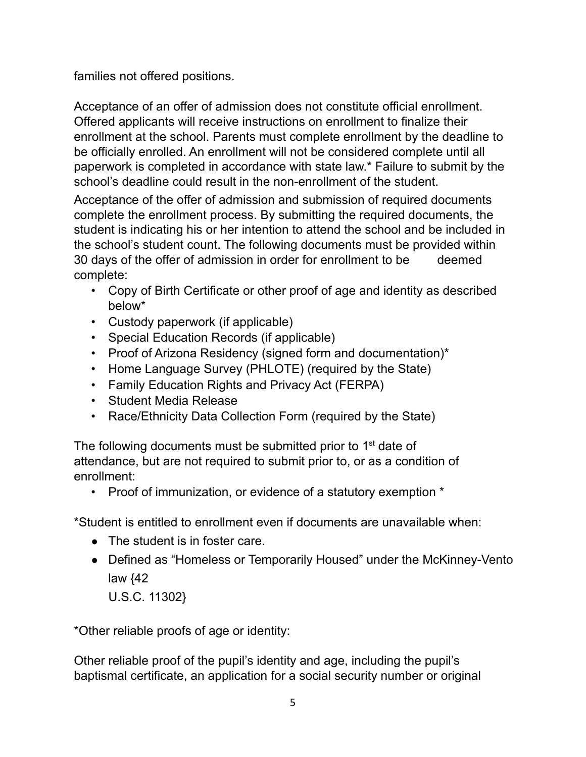families not offered positions.

Acceptance of an offer of admission does not constitute official enrollment. Offered applicants will receive instructions on enrollment to finalize their enrollment at the school. Parents must complete enrollment by the deadline to be officially enrolled. An enrollment will not be considered complete until all paperwork is completed in accordance with state law.\* Failure to submit by the school's deadline could result in the non-enrollment of the student.

Acceptance of the offer of admission and submission of required documents complete the enrollment process. By submitting the required documents, the student is indicating his or her intention to attend the school and be included in the school's student count. The following documents must be provided within 30 days of the offer of admission in order for enrollment to be deemed complete:

- Copy of Birth Certificate or other proof of age and identity as described below\*
- Custody paperwork (if applicable)
- Special Education Records (if applicable)
- Proof of Arizona Residency (signed form and documentation)\*
- Home Language Survey (PHLOTE) (required by the State)
- Family Education Rights and Privacy Act (FERPA)
- Student Media Release
- Race/Ethnicity Data Collection Form (required by the State)

The following documents must be submitted prior to 1<sup>st</sup> date of attendance, but are not required to submit prior to, or as a condition of enrollment:

• Proof of immunization, or evidence of a statutory exemption  $*$ 

\*Student is entitled to enrollment even if documents are unavailable when:

- The student is in foster care.
- Defined as "Homeless or Temporarily Housed" under the McKinney-Vento law {42

U.S.C. 11302}

\*Other reliable proofs of age or identity:

Other reliable proof of the pupil's identity and age, including the pupil's baptismal certificate, an application for a social security number or original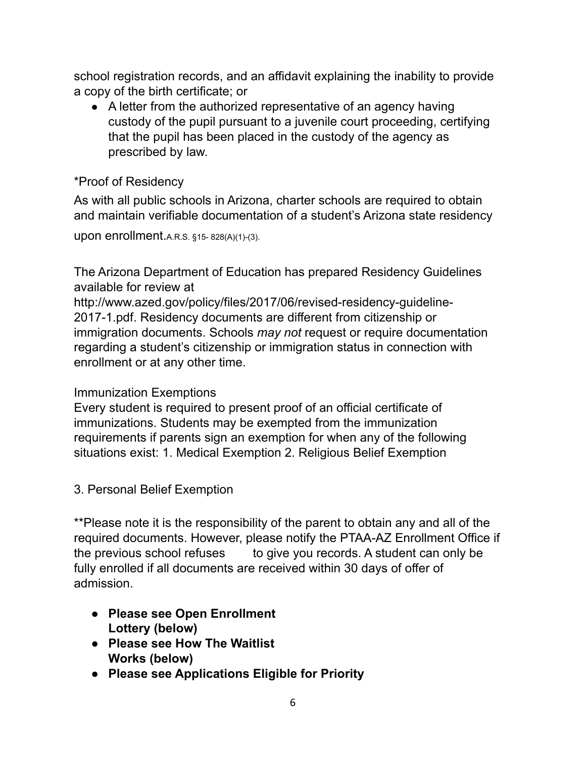school registration records, and an affidavit explaining the inability to provide a copy of the birth certificate; or

● A letter from the authorized representative of an agency having custody of the pupil pursuant to a juvenile court proceeding, certifying that the pupil has been placed in the custody of the agency as prescribed by law.

### \*Proof of Residency

As with all public schools in Arizona, charter schools are required to obtain and maintain verifiable documentation of a student's Arizona state residency

upon enrollment.A.R.S. §15- 828(A)(1)-(3).

The Arizona Department of Education has prepared Residency Guidelines available for review at

[http://www.azed.gov/policy/files/2017/06/revised-residency-guideline-](http://www.azed.gov/policy/files/2017/06/revised-residency-guideline-2017-1.pdf)[2017-1.pdf.](http://www.azed.gov/policy/files/2017/06/revised-residency-guideline-2017-1.pdf) Residency documents are different from citizenship or immigration documents. Schools *may not* request or require documentation regarding a student's citizenship or immigration status in connection with enrollment or at any other time.

### Immunization Exemptions

Every student is required to present proof of an official certificate of immunizations. Students may be exempted from the immunization requirements if parents sign an exemption for when any of the following situations exist: 1. Medical Exemption 2. Religious Belief Exemption

3. Personal Belief Exemption

\*\*Please note it is the responsibility of the parent to obtain any and all of the required documents. However, please notify the PTAA-AZ Enrollment Office if the previous school refuses to give you records. A student can only be fully enrolled if all documents are received within 30 days of offer of admission.

- **● Please see Open Enrollment Lottery (below)**
- **● Please see How The Waitlist Works (below)**
- **● Please see Applications Eligible for Priority**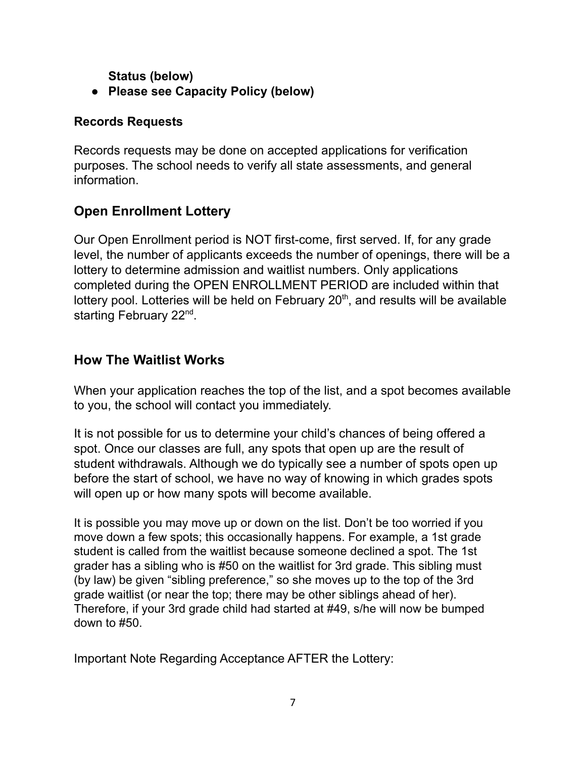**Status (below)**

**● Please see Capacity Policy (below)**

### **Records Requests**

Records requests may be done on accepted applications for verification purposes. The school needs to verify all state assessments, and general information.

# **Open Enrollment Lottery**

Our Open Enrollment period is NOT first-come, first served. If, for any grade level, the number of applicants exceeds the number of openings, there will be a lottery to determine admission and waitlist numbers. Only applications completed during the OPEN ENROLLMENT PERIOD are included within that lottery pool. Lotteries will be held on February  $20<sup>th</sup>$ , and results will be available starting February 22<sup>nd</sup>.

### **How The Waitlist Works**

When your application reaches the top of the list, and a spot becomes available to you, the school will contact you immediately.

It is not possible for us to determine your child's chances of being offered a spot. Once our classes are full, any spots that open up are the result of student withdrawals. Although we do typically see a number of spots open up before the start of school, we have no way of knowing in which grades spots will open up or how many spots will become available.

It is possible you may move up or down on the list. Don't be too worried if you move down a few spots; this occasionally happens. For example, a 1st grade student is called from the waitlist because someone declined a spot. The 1st grader has a sibling who is #50 on the waitlist for 3rd grade. This sibling must (by law) be given "sibling preference," so she moves up to the top of the 3rd grade waitlist (or near the top; there may be other siblings ahead of her). Therefore, if your 3rd grade child had started at #49, s/he will now be bumped down to #50.

Important Note Regarding Acceptance AFTER the Lottery: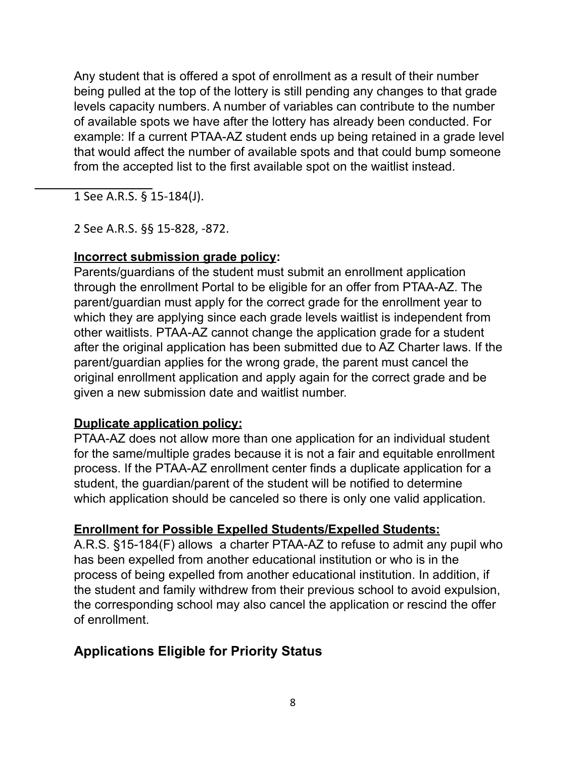Any student that is offered a spot of enrollment as a result of their number being pulled at the top of the lottery is still pending any changes to that grade levels capacity numbers. A number of variables can contribute to the number of available spots we have after the lottery has already been conducted. For example: If a current PTAA-AZ student ends up being retained in a grade level that would affect the number of available spots and that could bump someone from the accepted list to the first available spot on the waitlist instead.

1 See A.R.S. § 15-184(J).

2 See A.R.S. §§ 15-828, -872.

### **Incorrect submission grade policy:**

Parents/guardians of the student must submit an enrollment application through the enrollment Portal to be eligible for an offer from PTAA-AZ. The parent/guardian must apply for the correct grade for the enrollment year to which they are applying since each grade levels waitlist is independent from other waitlists. PTAA-AZ cannot change the application grade for a student after the original application has been submitted due to AZ Charter laws. If the parent/guardian applies for the wrong grade, the parent must cancel the original enrollment application and apply again for the correct grade and be given a new submission date and waitlist number.

### **Duplicate application policy:**

PTAA-AZ does not allow more than one application for an individual student for the same/multiple grades because it is not a fair and equitable enrollment process. If the PTAA-AZ enrollment center finds a duplicate application for a student, the guardian/parent of the student will be notified to determine which application should be canceled so there is only one valid application.

### **Enrollment for Possible Expelled Students/Expelled Students:**

A.R.S. §15-184(F) allows a charter PTAA-AZ to refuse to admit any pupil who has been expelled from another educational institution or who is in the process of being expelled from another educational institution. In addition, if the student and family withdrew from their previous school to avoid expulsion, the corresponding school may also cancel the application or rescind the offer of enrollment.

# **Applications Eligible for Priority Status**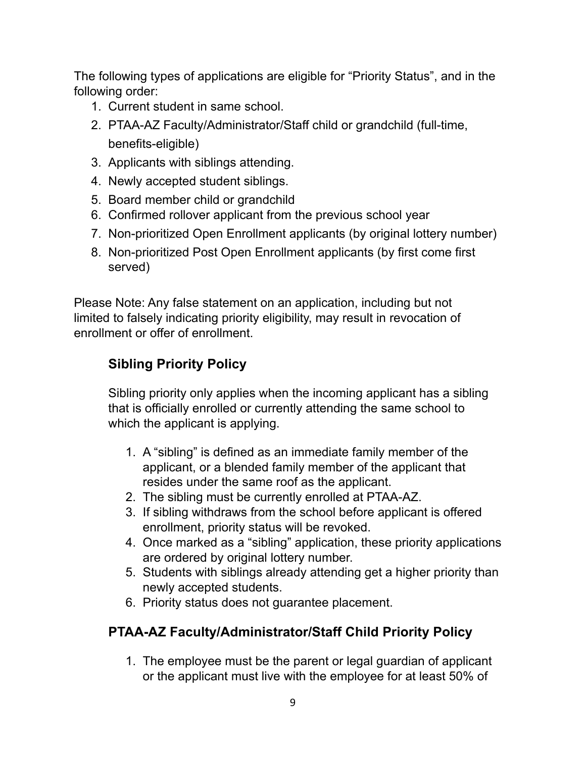The following types of applications are eligible for "Priority Status", and in the following order:

- 1. Current student in same school.
- 2. PTAA-AZ Faculty/Administrator/Staff child or grandchild (full-time, benefits-eligible)
- 3. Applicants with siblings attending.
- 4. Newly accepted student siblings.
- 5. Board member child or grandchild
- 6. Confirmed rollover applicant from the previous school year
- 7. Non-prioritized Open Enrollment applicants (by original lottery number)
- 8. Non-prioritized Post Open Enrollment applicants (by first come first served)

Please Note: Any false statement on an application, including but not limited to falsely indicating priority eligibility, may result in revocation of enrollment or offer of enrollment.

# **Sibling Priority Policy**

Sibling priority only applies when the incoming applicant has a sibling that is officially enrolled or currently attending the same school to which the applicant is applying.

- 1. A "sibling" is defined as an immediate family member of the applicant, or a blended family member of the applicant that resides under the same roof as the applicant.
- 2. The sibling must be currently enrolled at PTAA-AZ.
- 3. If sibling withdraws from the school before applicant is offered enrollment, priority status will be revoked.
- 4. Once marked as a "sibling" application, these priority applications are ordered by original lottery number.
- 5. Students with siblings already attending get a higher priority than newly accepted students.
- 6. Priority status does not guarantee placement.

# **PTAA-AZ Faculty/Administrator/Staff Child Priority Policy**

1. The employee must be the parent or legal guardian of applicant or the applicant must live with the employee for at least 50% of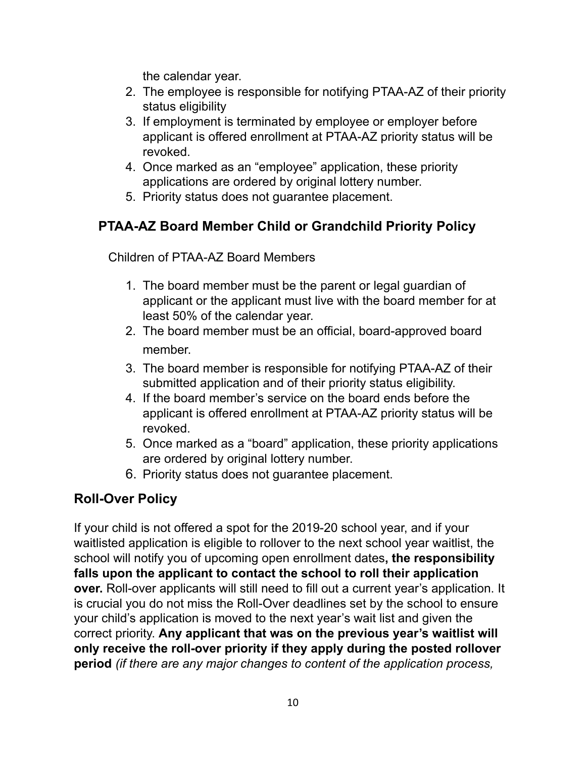the calendar year.

- 2. The employee is responsible for notifying PTAA-AZ of their priority status eligibility
- 3. If employment is terminated by employee or employer before applicant is offered enrollment at PTAA-AZ priority status will be revoked.
- 4. Once marked as an "employee" application, these priority applications are ordered by original lottery number.
- 5. Priority status does not guarantee placement.

### **PTAA-AZ Board Member Child or Grandchild Priority Policy**

Children of PTAA-AZ Board Members

- 1. The board member must be the parent or legal guardian of applicant or the applicant must live with the board member for at least 50% of the calendar year.
- 2. The board member must be an official, board-approved board member.
- 3. The board member is responsible for notifying PTAA-AZ of their submitted application and of their priority status eligibility.
- 4. If the board member's service on the board ends before the applicant is offered enrollment at PTAA-AZ priority status will be revoked.
- 5. Once marked as a "board" application, these priority applications are ordered by original lottery number.
- 6. Priority status does not guarantee placement.

# **Roll-Over Policy**

If your child is not offered a spot for the 2019-20 school year, and if your waitlisted application is eligible to rollover to the next school year waitlist, the school will notify you of upcoming open enrollment dates**, the responsibility falls upon the applicant to contact the school to roll their application over.** Roll-over applicants will still need to fill out a current year's application. It is crucial you do not miss the Roll-Over deadlines set by the school to ensure your child's application is moved to the next year's wait list and given the correct priority. **Any applicant that was on the previous year's waitlist will only receive the roll-over priority if they apply during the posted rollover period** *(if there are any major changes to content of the application process,*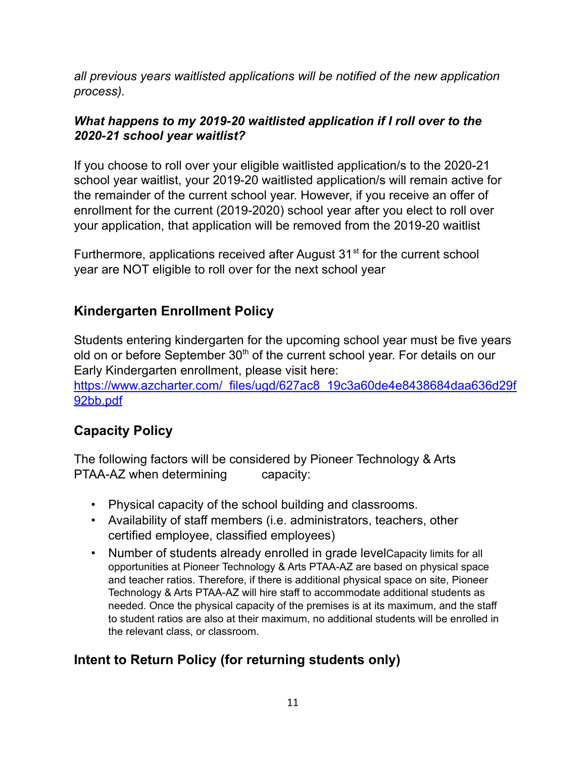*all previous years waitlisted applications will be notified of the new application process).*

#### *What happens to my 2019-20 waitlisted application if I roll over to the 2020-21 school year waitlist?*

If you choose to roll over your eligible waitlisted application/s to the 2020-21 school year waitlist, your 2019-20 waitlisted application/s will remain active for the remainder of the current school year. However, if you receive an offer of enrollment for the current (2019-2020) school year after you elect to roll over your application, that application will be removed from the 2019-20 waitlist

Furthermore, applications received after August 31<sup>st</sup> for the current school year are NOT eligible to roll over for the next school year

# **Kindergarten Enrollment Policy**

Students entering kindergarten for the upcoming school year must be five years old on or before September 30<sup>th</sup> of the current school year. For details on our Early Kindergarten enrollment, please visit here:

[https://www.azcharter.com/\\_files/ugd/627ac8\\_19c3a60de4e8438684daa636d29f](https://www.azcharter.com/_files/ugd/627ac8_19c3a60de4e8438684daa636d29f92bb.pdf) [92bb.pdf](https://www.azcharter.com/_files/ugd/627ac8_19c3a60de4e8438684daa636d29f92bb.pdf)

### **Capacity Policy**

The following factors will be considered by Pioneer Technology & Arts PTAA-AZ when determining capacity:

- Physical capacity of the school building and classrooms.
- Availability of staff members (i.e. administrators, teachers, other certified employee, classified employees)
- Number of students already enrolled in grade levelCapacity limits for all opportunities at Pioneer Technology & Arts PTAA-AZ are based on physical space and teacher ratios. Therefore, if there is additional physical space on site, Pioneer Technology & Arts PTAA-AZ will hire staff to accommodate additional students as needed. Once the physical capacity of the premises is at its maximum, and the staff to student ratios are also at their maximum, no additional students will be enrolled in the relevant class, or classroom.

# **Intent to Return Policy (for returning students only)**